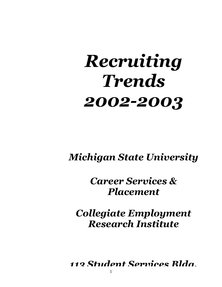# *Recruiting Trends 2002-2003*

# *Michigan State University*

# *Career Services & Placement*

# *Collegiate Employment Research Institute*

*113 Student Services Bldg.*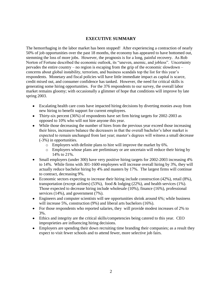# **EXECUTIVE SUMMARY**

The hemorrhaging in the labor market has been stopped! After experiencing a contraction of nearly 50% of job opportunities over the past 18 months, the economy has appeared to have bottomed out, stemming the loss of more jobs. However, the prognosis is for a long, painful recovery. As Rob Norton of Fortune described the economic outlook, its "uneven, anemic, and jobless". Uncertainty pervades the entire country – no region is escaping from the grip of the economic slowdown – concerns about global instability, terrorism, and business scandals top the list for this year's respondents. Monetary and fiscal policies will have little immediate impact as capital is scarce, credit mixed out, and consumer confidence has tanked. However, the need for critical skills is generating some hiring opportunities. For the 376 respondents to our survey, the overall labor market remains gloomy; with occasionally a glimmer of hope that conditions will improve by late spring 2003.

- Escalating health care costs have impacted hiring decisions by diverting monies away from new hiring to benefit support for current employees.
- Thirty-six percent (36%) of respondents have set firm hiring targets for 2002-2003 as opposed to 10% who will not hire anyone this year.
- While those decreasing the number of hires from the previous year exceed those increasing their hires, increasers balance the decreasers in that the overall bachelor's labor market is expected to remain unchanged from last year; master's degrees will witness a small decrease (-3%) in opportunities.
	- o Employers with definite plans to hire will improve the market by 6%.
	- o Employers whose plans are preliminary or are uncertain will reduce their hiring by 14% to 21%.
- Small employers (under 300) have very positive hiring targets for 2002-2003 increasing 4% to 14%. While firms with 301-1600 employees will increase overall hiring by 3%, they will actually reduce bachelor hiring by 4% and masters by 17%. The largest firms will continue to contract, decreasing 9%.
- $\bullet$ Economic sectors expecting to increase their hiring include construction (42%), retail (8%), transportation (except airlines) (53%), food  $\&$  lodging (22%), and health services (1%). Those expected to decrease hiring include wholesale (10%), finance (16%), professional services (14%), and government (7%).
- Engineers and computer scientists will see opportunities shrink around 6%; while business will increase 5%, construction (9%) and liberal arts bachelors (16%).
- For those respondents who reported salaries, they will provide modest increases of 2% to 3%.
- Ethics and integrity are the critical skills/competencies being catered to this year. CEO improprieties are influencing hiring decisions.
- Employers are spending their down recruiting time branding their companies; as a result they expect to visit fewer schools and to attend fewer, more selective job fairs.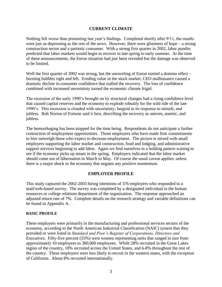# **CURRENT CLIMATE**

Nothing felt worse than presenting last year's findings. Completed shortly after 9/11, the results were just as depressing as the rest of the news. However, there were glimmers of hope – a strong construction sector and a patriotic consumer. With a strong first quarter in 2002, labor pundits predicted that labor markets would begin to recover in late spring to early summer. At the time of these announcements, the Enron situation had just been revealed but the damage was observed to be limited.

Well the first quarter of 2002 was strong, but the unraveling of Enron started a domino effect – bursting bubbles right and left. Eroding value in the stock market, CEO malfeasance caused a dramatic decline in consumer confidence that stalled the recovery. The loss of confidence combined with increased uncertainty turned the economic climate frigid.

The recession of the early 1990's brought on by structural changes had a rising confidence level that caused capital reserves and the economy to explode robustly for the wild ride of the late 1990's. This recession is clouded with uncertainty; languid in its response to stimuli; and jobless. Rob Norton of Fortune said it best, describing the recovery as uneven, anemic, and jobless.

The hemorrhaging has been stopped for the time being. Respondents do not anticipate a further contraction of employment opportunities. Those employers who have made firm commitments to hire outweigh those who expect to decrease employment. The picture is mixed with small employers supporting the labor market and construction, food and lodging, and administrative support services beginning to add labor. Again we find ourselves in a holding pattern waiting to see if the economy picks up steam in the spring. Employers indicated that the labor market should come out of hibernation in March to May. Of course the usual caveat applies: unless there is a major shock to the economy that negates any positive momentum.

# **EMPLOYER PROFILE**

This study captured the 2002-2003 hiring intentions of 376 employers who responded to a mail/web-based survey. The survey was completed by a designated individual in the human resources or college relations department of the organization. The response approached an adjusted return rate of 7%. Complete details on the research strategy and variable definitions can be found in Appendix A.

# **BASIC PROFILE**

These employers were primarily in the manufacturing and professional services sectors of the economy, according to the North American Industrial Classification (NAIC) system that they provided or were listed in *Standard and Poor's Register of Corporations, Directors and Executives*. Fifty-five percent (55%) were women representing units that ranged in size from approximately 10 employees to 380,000 employees. While 28% recruited in the Great Lakes region of the country, 18% recruited across the United States, and 6-8% throughout the rest of the country. These employers were less likely to recruit in the western states, with the exception of California. About 8% recruited internationally.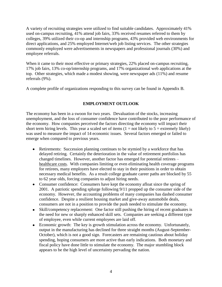A variety of recruiting strategies were utilized to find suitable candidates. Approximately 41% used on-campus recruiting, 41% attend job fairs, 33% received resumes referred to them by colleges, 39% utilized their co-op and internship programs, 43% provided web environments for direct applications, and 25% employed Internet/web job listing services. The other strategies commonly employed were advertisements in newspapers and professional journals (30%) and employee referrals.

When it came to their most effective or primary strategies, 22% placed on-campus recruiting, 17% job fairs, 13% co-op/internship programs, and 17% organizational web applications at the top. Other strategies, which made a modest showing, were newspaper ads (11%) and resume referrals (9%).

A complete profile of organizations responding to this survey can be found in Appendix B.

# **EMPLOYMENT OUTLOOK**

The economy has been in a swoon for two years. Devaluation of the stocks, increasing unemployment, and the loss of consumer confidence have contributed to the poor performance of the economy. How companies perceived the factors directing the economy will impact their short term hiring levels. This year a scaled set of items  $(1 = not likely to 5 = extremely likely)$ was used to measure the impact of 14 economic issues. Several factors emerged or failed to emerge when compared to previous years.

- Retirements: Succession planning continues to be stymied by a workforce that has delayed retiring. Certainly the deterioration in the value of retirement portfolios has changed timelines. However, another factor has emerged for potential retirees – healthcare costs. With companies limiting or even eliminating health coverage programs for retirees, many employers have elected to stay in their positions in order to obtain necessary medical benefits. As a result college graduate career paths are blocked by 55 to 62 year olds, forcing companies to adjust hiring needs.
- Consumer confidence: Consumers have kept the economy afloat since the spring of 2001. A patriotic spending splurge following 9/11 propped up the consumer side of the economy. However, the accounting problems of many companies has dashed consumer confidence. Despite a resilient housing market and give-away automobile deals, consumers are not in a position to provide the push needed to stimulate the economy.
- Skill/competency replacement: One factor still pushing the hiring of recent graduates is the need for new or sharply enhanced skill sets. Companies are seeking a different type of employee, even while current employees are laid off.
- Economic growth: The key is growth stimulation across the economy. Unfortunately,  $\bullet$ output in the manufacturing has declined for three straight months (August-September-October), which is not a good sign. Forecasters are remaining cautious about holiday spending, hoping consumers are more active than early indications. Both monetary and fiscal policy have done little to stimulate the economy. The major stumbling block appears to be the high level of uncertainty pervading the nation.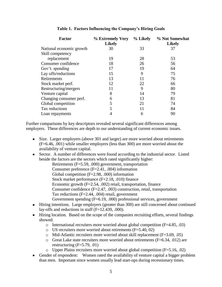| <b>Factor</b>            | % Extremely Very<br><b>Likely</b> | % Likely | % Not Somewhat<br><b>Likely</b> |
|--------------------------|-----------------------------------|----------|---------------------------------|
| National economic growth | 30                                | 33       | 37                              |
| Skill competency         |                                   |          |                                 |
| replacement              | 19                                | 28       | 53                              |
| Consumer confidence      | 18                                | 26       | 56                              |
| Gov't. spending          | 17                                | 19       | 64                              |
| Lay offs/reductions      | 15                                | 9        | 75                              |
| Retirements              | 13                                | 11       | 76                              |
| Stock market perf.       | 12                                | 22       | 66                              |
| Restructuring/mergers    | 11                                | 9        | 80                              |
| Venture capital          | 8                                 | 14       | 79                              |
| Changing consumer perf.  | 6                                 | 13       | 81                              |
| Global competition       | 5                                 | 21       | 74                              |
| Tax reductions           | 5                                 | 11       | 84                              |
| Loan repayments          |                                   | 6        | 90                              |

# **Table 1. Factors Influencing the Company's Hiring Goals**

Further comparisons by key descriptors revealed several significant differences among employers. These differences are depth to our understanding of current economic issues.

- Size. Larger employers (above 301 and larger) are more worried about retirements (F=6.46, .001) while smaller employers (less than 300) are more worried about the availability of venture capital.
- Sector. A number of differences were found according to the industrial sector. Listed beside the factors are the sectors which rated significantly higher:
	- Retirements (F=5.59, .000) government, transportation Consumer preference (F=2.41, .004) information Global competition (F=2.98, .000) information Stock market performance (F+2.18, .010) finance Economic growth (F=2.54, .002) retail, transportation, finance Consumer confidence (F=2.47, .003) construction, retail, transportation Tax reductions (F=2.44, .004) retail, government Government spending (F=6.19, .000) professional services, government
- Hiring intentions. Large employers (greater than 300) are still concerned about continued lay-offs and reductions in staff  $(F=12.439, .000)$ .
- Hiring location. Based on the scope of the companies recruiting efforts, several findings showed.
	- $\circ$  International recruiters more worried about global competition (F=4.85, .03)
	- $\circ$  US recruiters more worried about retirements (F=5.40, 02)
	- $\circ$  Mid-Atlantic recruiters more worried about skill replacement (F=3.69, .05)
	- o Great Lake state recruiters more worried about retirements (F=6.34, .012) are restructuring (F=5.79, .01)
	- o Upper Plains recruiters more worried about global competition (F=5.16, .02)
- Gender of respondent: Women rated the availability of venture capital a bigger problem than men. Important since women usually lead start-ups during recessionary times.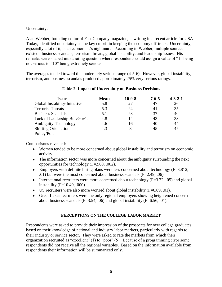Uncertainty:

Alan Webber, founding editor of Fast Company magazine, is writing in a recent article for USA Today, identified uncertainty as the key culprit in keeping the economy off-track. Uncertainty, especially a lot of it, is an economist's nightmare. According to Webber, multiple sources existed: business scandals, terrorism threats, global instability, and leadership issues. His remarks were shaped into a rating question where respondents could assign a value of "1" being not serious to "10" being extremely serious.

The averages tended toward the moderately serious range (4-5-6). However, global instability, terrorism, and business scandals produced approximately 25% very serious ratings.

| Issue                         | <b>Mean</b> | $10-9-8$ | $7 - 6 - 5$ | $4 - 3 - 2 - 1$ |
|-------------------------------|-------------|----------|-------------|-----------------|
| Global Instability-Initiative | 5.8         | 27       | 47          | 26              |
| <b>Terrorist Threats</b>      | 5.3         | 24       | 41          | 35              |
| <b>Business Scandals</b>      | 5.1         | 23       | 37          | 40              |
| Lack of Leadership Bus/Gov't  | 4.8         | 14       | 43          | 33              |
| Ambiguity-Technology          | 4.6         | 16       | 40          | 44              |
| <b>Shifting Orientation</b>   | 4.3         | 8        | 45          | 47              |
| Policy/Pol.                   |             |          |             |                 |

# **Table 2. Impact of Uncertainty on Business Decisions**

Comparisons revealed:

- Women tended to be more concerned about global instability and terrorism on economic activity.
- The information sector was more concerned about the ambiguity surrounding the next opportunities for technology (F=2.60, .002).
- Employers with definite hiring plans were less concerned about technology  $(F=3.812, F=3.812)$ .01) but were the most concerned about business scandals (F=2.49, .06).
- International recruiters were more concerned about technology  $(F=3.72, .05)$  and global instability (F=10.49, .000).
- US recruiters were also more worried about global instability  $(F=6.09, .01)$ .
- Great Lakes recruiters were the only regional employers showing heightened concern about business scandals ( $F=3.54$ , .06) and global instability ( $F=6.56$ , .01).

# **PERCEPTIONS ON THE COLLEGE LABOR MARKET**

Respondents were asked to provide their impression of the prospects for new college graduates based on their knowledge of national and industry labor markets, particularly with regards to their industry or service sector. They were asked to rate the markets from which their organization recruited as "excellent" (1) to "poor" (5). Because of a programming error some respondents did not receive all the regional variables. Based on the information available from respondents their information will be summarized only.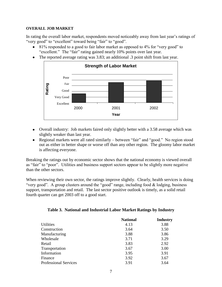## **OVERALL JOB MARKET**

In rating the overall labor market, respondents moved noticeably away from last year's ratings of "very good" to "excellent" toward being "fair" to "good".

- 81% responded to a good to fair labor market as opposed to 4% for "very good" to "excellent." The "fair" rating gained nearly 10% points over last year.
- The reported average rating was 3.83; an additional .3 point shift from last year.



- Overall industry: Job markets faired only slightly better with a 3.58 average which was slightly weaker than last year.
- Regional markets were all rated similarly between "fair" and "good." No region stood out as either in better shape or worse off than any other region. The gloomy labor market is affecting everyone.

Breaking the ratings out by economic sector shows that the national economy is viewed overall as "fair" to "poor". Utilities and business support sectors appear to be slightly more negative than the other sectors.

When reviewing their own sector, the ratings improve slightly. Clearly, health services is doing "very good". A group clusters around the "good" range, including food & lodging, business support, transportation and retail. The last sector positive outlook is timely, as a solid retail fourth quarter can get 2003 off to a good start.

| <b>National</b> | <b>Industry</b> |
|-----------------|-----------------|
| 4.13            | 3.88            |
| 3.64            | 3.50            |
| 3.88            | 3.86            |
| 3.71            | 3.29            |
| 3.83            | 2.92            |
| 3.67            | 3.00            |
| 3.95            | 3.91            |
| 3.92            | 3.67            |
| 3.91            | 3.64            |
|                 |                 |

# **Table 3. National and Industrial Labor Market Ratings by Industry**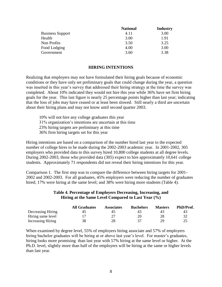|                         | <b>National</b> | <b>Industry</b> |
|-------------------------|-----------------|-----------------|
| <b>Business Support</b> | 4.11            | 3.00            |
| Health                  | 3.00            | 1.91            |
| Non Profits             | 3.50            | 3.25            |
| Food Lodging            | 4.00            | 3.00            |
| Government              | 3.60            | 3.38            |

#### **HIRING INTENTIONS**

Realizing that employers may not have formulated their hiring goals because of economic conditions or they have only set preliminary goals that could change during the year, a question was inserted in this year's survey that addressed their hiring strategy at the time the survey was completed. About 10% indicated they would not hire this year while 36% have set firm hiring goals for the year. This last figure is nearly 25 percentage points higher than last year; indicating that the loss of jobs may have ceased or at least been slowed. Still nearly a third are uncertain about their hiring plans and may not know until second quarter 2003.

10% will not hire any college graduates this year 31% organization's intentions are uncertain at this time 23% hiring targets are preliminary at this time 36% firm hiring targets set for this year

Hiring intentions are based on a comparison of the number hired last year to the expected number of college hires to be made during the 2002-2003 academic year. In 2001-2002, 305 employers who provided data to this survey hired 10,800 college students at all degree levels. During 2002-2003, those who provided data (305) expect to hire approximately 10,641 college students. Approximately 71 respondents did not reveal their hiring intentions for this year.

Comparison 1. The first step was to compare the difference between hiring targets for 2001- 2002 and 2002-2003. For all graduates, 45% employers were reducing the number of graduates hired; 17% were hiring at the same level; and 38% were hiring more students (Table 4).

### **Table 4. Percentage of Employers Decreasing, Increasing, and Hiring at the Same Level Compared to Last Year (%)**

|                   | <b>All Graduates</b> | <b>Associates</b> | <b>Bachelors</b> | <b>Masters</b> | PhD/Prof. |
|-------------------|----------------------|-------------------|------------------|----------------|-----------|
| Decreasing Hiring | 45                   | 40                |                  |                | 43        |
| Hiring same level |                      |                   | 20               |                |           |
| Increasing Hiring | 38                   | 28                |                  | 29             |           |

When examined by degree level, 55% of employers hiring associate and 57% of employers hiring bachelor graduates will be hiring at or above last year's level. For master's graduates, hiring looks more promising than last year with 57% hiring at the same level or higher. At the Ph.D. level, slightly more than half of the employers will be hiring at the same or higher levels than last year.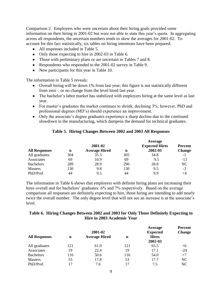Comparison 2. Employers who were uncertain about their hiring goals provided some information on their hiring in 2001-02 but were not able to state this year's quota. In aggregating across all respondents, the uncertain numbers tends to skew the averages for 2001-02. To account for this fact statistically, six tables on hiring intentions have been prepared.

- All responses included in Table 5.
- Only those expecting to hire in 2002-03 in Table 6.
- Those with preliminary plans or are uncertain in Tables 7 and 8.
- Respondents who responded to the 2001-02 survey in Table 9.
- New participants for this year in Table 10.

The information in Table 5 reveals:

- Overall hiring will be down 1% from last year; this figure is not statistically different from zero – or no change from the level hired last year.
- The bachelor's labor market has stabilized with employers hiring at the same level as last year.
- For master's graduates the market continues to shrink, declining 3%; however, PhD and professional degrees (MD's) should experience an improvement.
- Only the associate's degree graduates experience a sharp decline due to the continued slowdown in the manufacturing, which dampens the demand for technical graduates.

# **Table 5. Hiring Changes Between 2002 and 2003 All Responses**

|                      |     |                      |     | Average               |                |  |
|----------------------|-----|----------------------|-----|-----------------------|----------------|--|
|                      |     | 2001-02              |     | <b>Expected Hires</b> | <b>Percent</b> |  |
| <b>All Responses</b> | n   | <b>Average Hired</b> |     | 2002-03               | <b>Change</b>  |  |
| All graduates        | 304 | 35.3                 | 305 | 34.8                  | -1             |  |
| Associates           | 69  | 10.9                 | 69  | 9.5                   | $-13$          |  |
| <b>Bachelors</b>     | 289 | 28.9                 | 290 | 28.8                  | NC             |  |
| <b>Masters</b>       | 130 | 9.8                  | 130 | 9.5                   | $-3$           |  |
| PhD/Prof.            | 44  | 9.5                  | 44  | 9.9                   | $+4$           |  |

The information in Table 6 shows that employers with definite hiring plans are increasing their hires overall and for bachelors' graduates: 6% and 7% respectively. Based on the average comparison all responses are definitely expecting to hire, those hiring are intending to add nearly twice the overall number. The only degree level that will not see an increase is at the associate's level.

# **Table 6. Hiring Changes Between 2002 and 2003 for Only Those Definitely Expecting to Hire in 2003 Academic Year**

|                      |             | 2001-02              |             | Average<br><b>Expected</b> | <b>Percent</b><br><b>Change</b> |
|----------------------|-------------|----------------------|-------------|----------------------------|---------------------------------|
| <b>All Responses</b> | $\mathbf n$ | <b>Average Hired</b> | $\mathbf n$ | <b>Hires</b><br>2002-03    |                                 |
| All graduates        | 121         | 61.9                 | 121         | 65.5                       | $+6$                            |
| Associates           | 19          | 22.4                 | 19          | 17.1                       | $-24$                           |
| <b>Bachelors</b>     | 116         | 50.6                 | 116         | 54.0                       | $+7$                            |
| <b>Masters</b>       | 53          | 17.8                 | 53          | 17.7                       | NC                              |
| PhD/Prof.            | 17          | 7.6                  | 17          | 7.5                        | NC                              |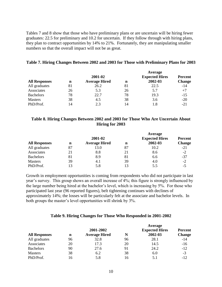Tables 7 and 8 show that those who have preliminary plans or are uncertain will be hiring fewer graduates: 22.5 for preliminary and 10.2 for uncertain. If they follow through with hiring plans, they plan to contract opportunities by 14% to 21%. Fortunately, they are manipulating smaller numbers so that the overall impact will not be as great.

#### **Table 7. Hiring Changes Between 2002 and 2003 for Those with Preliminary Plans for 2003**

**Average** 

|                      |                           | 2001-02 |    | Average<br><b>Expected Hires</b> | <b>Percent</b> |  |
|----------------------|---------------------------|---------|----|----------------------------------|----------------|--|
| <b>All Responses</b> | <b>Average Hired</b><br>n |         | n  | 2002-03                          | <b>Change</b>  |  |
| All graduates        | 81                        | 26.2    | 81 | 22.5                             | $-14$          |  |
| Associates           | 26                        | 5.3     | 26 | 5.7                              | $+7$           |  |
| <b>Bachelors</b>     | 78                        | 22.7    | 78 | 19.3                             | $-15$          |  |
| <b>Masters</b>       | 38                        | 4.5     | 38 | 3.6                              | $-20$          |  |
| PhD/Prof.            | 14                        | 2.3     |    | 1.8                              | $-21$          |  |

# **Table 8. Hiring Changes Between 2002 and 2003 for Those Who Are Uncertain About Hiring for 2003**

|                      |    |                      |    | Average               |                |
|----------------------|----|----------------------|----|-----------------------|----------------|
|                      |    | 2001-02              |    | <b>Expected Hires</b> | <b>Percent</b> |
| <b>All Responses</b> | n  | <b>Average Hired</b> | n  | 2002-03               | <b>Change</b>  |
| All graduates        | 87 | 13.0                 | 87 | 10.2                  | $-21$          |
| Associates           | 21 | 8.8                  | 21 | 8.6                   | $-2$           |
| <b>Bachelors</b>     | 81 | 8.9                  | 81 | 6.6                   | $-37$          |
| <b>Masters</b>       | 39 | 4.1                  | 39 | 4.0                   | $-2$           |
| PhD/Prof.            |    | 5.8                  |    | 5.5                   | -5             |

Growth in employment opportunities is coming from respondents who did not participate in last year's survey. This group shows an overall increase of 4%; this figure is strongly influenced by the large number being hired at the bachelor's level, which is increasing by 5%. For those who participated last year (96 reported figures), belt tightening continues with declines of approximately 14%; the losses will be particularly felt at the associate and bachelor levels. In both groups the master's level opportunities will shrink by 3%.

#### **Table 9. Hiring Changes for Those Who Responded in 2001-2002**

|                      |    |                                   |    | Average                          |                                 |
|----------------------|----|-----------------------------------|----|----------------------------------|---------------------------------|
| <b>All Responses</b> | n  | 2001-2002<br><b>Average Hired</b> | N  | <b>Expected Hires</b><br>2002-03 | <b>Percent</b><br><b>Change</b> |
| All graduates        | 96 | 32.8                              | 96 | 28.1                             | -14                             |
| Associates           | 20 | 17.3                              | 20 | 14.5                             | $-16$                           |
| <b>Bachelors</b>     | 90 | 27.6                              | 91 | 24.2                             | $-12$                           |
| <b>Masters</b>       | 38 | 6.2                               | 38 | 6.0                              | $-3$                            |
| PhD/Prof.            | 16 | 5.8                               | 16 | 5.1                              | $-12$                           |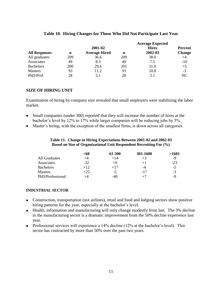|                      |     |                      |     | <b>Average Expected</b> |                |
|----------------------|-----|----------------------|-----|-------------------------|----------------|
|                      |     | 2001-02              |     | <b>Hires</b>            | <b>Percent</b> |
| <b>All Responses</b> | n   | <b>Average Hired</b> |     | 2002-03                 | <b>Change</b>  |
| All graduates        | 209 | 36.6                 | 209 | 38.0                    | $+4$           |
| Associates           | 49  | 8.3                  | 49  | 7.5                     | $-10$          |
| <b>Bachelors</b>     | 200 | 29.6                 | 201 | 31.0                    | $+5$           |
| <b>Masters</b>       | 93  | 11.2                 | 93  | 10.8                    | $-3$           |
| PhD/Prof.            | 28  | 5.1                  | 28  | 5.1                     | NC             |

# **Table 10. Hiring Changes for Those Who Did Not Participate Last Year**

# **SIZE OF HIRING UNIT**

Examination of hiring by company size revealed that small employers were stabilizing the labor market.

- Small companies (under 300) reported that they will increase the number of hires at the bachelor's level by 12% to 17% while larger companies will be reducing jobs by 5%.
- Master's hiring, with the exception of the smallest firms, is down across all categories.

#### **Table 11. Change in Hiring Expectations Between 2001-02 and 2002-03 Based on Size of Organizational Unit Respondent Recruiting For (%)**

|                  | $<$ 60 | 61-300 | 301-1600 | >1601 |
|------------------|--------|--------|----------|-------|
| All Graduates    | +4     | $+14$  | $+3$     | -9    |
| Associates       | $-32$  | $+9$   | $+1$     | $-23$ |
| <b>Bachelors</b> | $+12$  | $+17$  | -4       | $-5$  |
| <b>Masters</b>   | $+25$  | $-5$   | $-17$    | $-3$  |
| PhD/Professional | +4     | $-40$  | $+7$     | -9    |

#### **INDUSTRIAL SECTOR**

- Construction, transportation (not airlines), retail and food and lodging sectors show positive hiring patterns for the year, especially at the bachelor's level.
- Health, information and manufacturing will only change modestly from last. The 3% decline in the manufacturing sector is a dramatic improvement from the 50% decline experience last year.
- Professional services will experience a  $14\%$  decline ( $12\%$  at the bachelor's level). This sector has contracted by more than 50% over the past two years.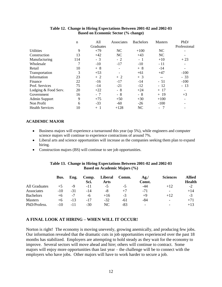|                        | $\mathbf n$ | All       | Associates | <b>Bachelors</b> | <b>Masters</b> | PhD/                     |
|------------------------|-------------|-----------|------------|------------------|----------------|--------------------------|
|                        |             | Graduates |            |                  |                | Professional             |
| <b>Utilities</b>       | 9           | $+79$     | NC         | $+100$           | NC             |                          |
| Construction           | 13          | $+42$     | NC         | $+43$            | NC             |                          |
| Manufacturing          | 114         | $-3$      | $-2$       | - 1              | $+10$          | $+23$                    |
| Wholesale              | 7           | $-10$     | $-17$      | $-10$            | $-11$          |                          |
| Retail                 | 10          | $+8$      |            | $+8$             | $-14$          | $\overline{\phantom{a}}$ |
| Transportation         | 3           | $+53$     |            | $+61$            | $+47$          | $-100$                   |
| Information            | 23          | $+2$      | $+2$       | $+3$             | $-$            | $-33$                    |
| Finance                | 22          | $-16$     | $-17$      | $-14$            | $-51$          | $-100$                   |
| Prof. Services         | 75          | $-14$     | $-21$      | $-12$            | $-12$          | $-13$                    |
| Lodging & Food Serv.   | 20          | $+22$     | - 8        | $+24$            | $+ 17$         |                          |
| Government             | 16          | $-7$      | - 8        | $-8$             | $+19$          | $+3$                     |
| Admin Support          | 9           | $+75$     | $+50$      | $+30$            | $+100$         | $\overline{\phantom{a}}$ |
| Non Profit             | 6           | $-33$     | $-60$      | $-26$            | $-100$         |                          |
| <b>Health Services</b> | 10          | $+1$      | $+128$     | NC               | $\sim$         |                          |

#### **Table 12. Change in Hiring Expectations Between 2001-02 and 2002-03 Based on Economic Sector (% change)**

# **ACADEMIC MAJOR**

- Business majors will experience a turnaround this year (up 5%), while engineers and computer science majors will continue to experience contractions of around 7%.
- Liberal arts and science opportunities will increase as the companies seeking them plan to expand hiring.
- Construction majors (BS) will continue to see job opportunities.

### **Table 13. Change in Hiring Expectations Between 2001-02 and 2002-03 Based on Academic Majors (%)**

|                  | Bus.  | Eng.  | Comp.<br>Sci. | <b>Liberal</b><br>Arts | Comm. | Ag./<br>Const. | <b>Sciences</b>          | <b>Allied</b><br><b>Health</b> |
|------------------|-------|-------|---------------|------------------------|-------|----------------|--------------------------|--------------------------------|
| All Graduates    | $+5$  | -9    | -11           | -5                     | -5    | -44            | $+12$                    | $-2$                           |
| Associates       | $-10$ | -31   | $-14$         | -8                     | $+7$  | $-71$          | $\overline{\phantom{0}}$ | $+14$                          |
| <b>Bachelors</b> | $+6$  | $-7$  | -6            | $+16$                  | -3    | $+9$           | $+12$                    | $-3$                           |
| <b>Masters</b>   | $+6$  | $-13$ | -17           | $-32$                  | -61   | -84            | $\overline{\phantom{a}}$ | $+71$                          |
| PhD/Profess.     | $-10$ | -11   | $-30$         | NC.                    | -83   | -              | $\overline{\phantom{a}}$ | $+13$                          |

# **A FINAL LOOK AT HIRING – WHEN WILL IT OCCUR!**

Norton is right! The economy is moving unevenly, growing anemically, and producing few jobs. Our information revealed that the dramatic cuts in job opportunities experienced over the past 18 months has stabilized. Employers are attempting to hold steady as they wait for the economy to improve. Several sectors will move ahead and hire; others will continue to contract. Some majors will enjoy more opportunities than last year – the challenge will be to connect with the employers who have jobs. Other majors will have to work harder to secure a job.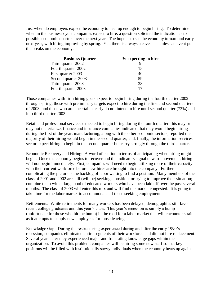Just when do employers expect the economy to heat up enough to begin hiring. To determine when in the business cycle companies expect to hire, a question solicited the indication as to possible economic quarters over the next year. The hope is to see the economy turnaround early next year, with hiring improving by spring. Yet, there is always a caveat --- unless an event puts the breaks on the economy.

| <b>Business Quarter</b> | % expecting to hire |
|-------------------------|---------------------|
| Third quarter 2002      |                     |
| Fourth quarter 2002     | 15                  |
| First quarter 2003      | 40                  |
| Second quarter 2003     | 59                  |
| Third quarter 2003      | 38                  |
| Fourth quarter 2003     |                     |

Those companies with firm hiring goals expect to begin hiring during the fourth quarter 2002 through spring; those with preliminary targets expect to hire during the first and second quarters of 2003; and those who are uncertain clearly do not intend to hire until second quarter (73%) and into third quarter 2003.

Retail and professional services expected to begin hiring during the fourth quarter, this may or may not materialize; finance and insurance companies indicated that they would begin hiring during the first of the year; manufacturing, along with the other economic sectors, reported the majority of their hiring would begin in the second quarter; and, finally, the information services sector expect hiring to begin in the second quarter but carry strongly through the third quarter.

Economic Recovery and Hiring: A word of caution in terms of anticipating when hiring might begin. Once the economy begins to recover and the indicators signal upward movement, hiring will not begin immediately. First, companies will need to begin utilizing more of their capacity with their current workforce before new hires are brought into the company. Further complicating the picture is the backlog of labor waiting to find a position. Many members of the class of 2001 and 2002 are still (will be) seeking a position, or trying to improve their situation; combine them with a large pool of educated workers who have been laid off over the past several months. The class of 2003 will enter this mix and will find the market congested. It is going to take time for the labor market to accommodate all those seeking employment.

Retirements: While retirements for many workers has been delayed, demographics still favor recent college graduates and this year's class. This year's recession is simply a bump (unfortunate for those who hit the bump) in the road for a labor market that will encounter strain as it attempts to supply new employees for those leaving.

Knowledge Gap. During the restructuring experienced during and after the early 1990's recession, companies eliminated entire segments of their workforce and did not hire replacement. Several years later they experienced major and frustrating knowledge gaps within the organization. To avoid this problem, companies will be hiring some new staff so that key positions will be filled with institutionally savvy individuals when the economy heats up again.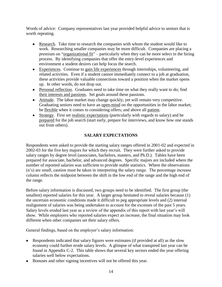Words of advice: Company representatives last year provided helpful advice to seniors that is worth repeating.

- Research. Take time to research the companies with whom the student would like to work. Researching smaller companies may be more difficult. Companies are placing a premium on "organizational fit" – particularly when they can be more select in the hiring process. By identifying companies that offer the entry-level experiences and environment a student desires can help focus the search.
- Experiences. Continue to gain life experiences through internships, volunteering, and related activities. Even if a student cannot immediately connect to a job at graduation, these activities provide valuable connections toward a position when the market opens up. In other words, do not drop out.
- Personal reflection. Graduates need to take time on what they really want to do; find their interests and passions. Set goals around these passions.
- Attitude. The labor market may change quickly; yet will remain very competitive. Graduating seniors need to have an open-mind on the opportunities in the labor market; be flexible when it comes to considering offers; and above all patient.
- Strategy. First set realistic expectations (particularly with regards to salary) and be prepared for the job search (start early, prepare for interviews, and know how one stands out from others).

# **SALARY EXPECTATIONS**

Respondents were asked to provide the starting salary ranges offered in 2001-02 and expected in 2002-03 for the five key majors for which they recruit. They were further asked to provide salary ranges by degree level (associates, bachelors, masters, and Ph.D.). Tables have been prepared for associate, bachelor, and advanced degrees. Specific majors are included where the number of reported salaries was sufficient to provide stable statistics. Where the observations (n's) are small, caution must be taken in interpreting the salary range. The percentage increase column reflects the midpoint between the shift in the low end of the range and the high end of the range.

Before salary information is discussed, two groups need to be identified. The first group (the smallest) reported salaries for this year. A larger group hesitated to reveal salaries because (1) the uncertain economic conditions made it difficult to peg appropriate levels and (2) internal realignment of salaries was being undertaken to account for the excesses of the past 5 years. Salary levels eroded last year as a review of the appendix of this report with last year's will show. While employers who reported salaries expect an increase, the final situation may look different when other companies set their salary offers.

General findings, based on the employer's salary information:

- Respondents indicated that salary figures were estimates (if provided at all) as the slow economy could further erode salary levels. A glimpse of what transpired last year can be found in Appendix C-2. This table shows that several key sectors ended the year offering salaries well below expectations.
- Bonuses and other signing incentives will not be offered this year.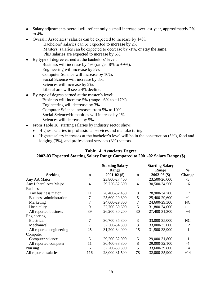- Salary adjustments overall will reflect only a small increase over last year, approximately 2% to 4%.
- Overall: Associates' salaries can be expected to increase by 14%.
	- Bachelors' salaries can be expected to increase by 2%.
	- Masters' salaries can be expected to decrease by -1%, or stay the same.
	- PhD salaries are expected to increase by 6%.
- By type of degree earned at the bachelors' level:
	- Business will increase by 4% (range  $-8\%$  to  $+9\%$ ).
	- Engineering will increase by 5%.
		- Computer Science will increase by 10%.
	- Social Science will increase by 3%.
	- Sciences will increase by 2%.
	- Liberal arts will see a 4% decline.
- By type of degree earned at the master's level:
	- Business will increase 5% (range  $-6\%$  to  $+17\%$ ).
		- Engineering will decrease by 3%.
		- Computer Science increases from 5% to 10%.
		- Social Science/Humanities will increase by 1%.
		- Sciences will decrease by 5%.
- From Table 18, starting salaries by industry sector show:
	- Highest salaries in professional services and manufacturing
	- $\bullet$  Highest salary increases at the bachelor's level will be in the construction (3%), food and lodging (3%), and professional services (3%) sectors.

# **Table 14. Associates Degree**

# **2002-03 Expected Starting Salary Range Compared to 2001-02 Salary Range (\$)**

|                                |             | <b>Starting Salary</b> |                | <b>Starting Salary</b> |               |
|--------------------------------|-------------|------------------------|----------------|------------------------|---------------|
|                                |             | Range                  |                | Range                  | $\frac{6}{6}$ |
| <b>Seeking</b>                 | $\mathbf n$ | $2001 - 02$ (\$)       | $\mathbf n$    | $2002 - 03$ (\$)       | <b>Change</b> |
| Any AA Major                   | 4           | 23,800-27,400          | $\overline{4}$ | 23,500-26,000          | $-5$          |
| Any Liberal Arts Major         | 4           | 29,750-32,500          | $\overline{4}$ | 30,500-34,500          | $+6$          |
| <b>Business</b>                |             |                        |                |                        |               |
| Any business major             | 11          | 26,400-32,450          | 8              | 28,900-34,700          | $+7$          |
| <b>Business administration</b> | 7           | 25,600-29,300          | 5              | 25,400-29,600          | $+1$          |
| Marketing                      | 7           | 24,600-29,300          | 7              | 24,600-29,300          | NC            |
| Hospitality                    | 9           | 27,700-30,600          | 5              | 31,800-34,000          | $+11$         |
| All reported business          | 39          | 26,200-30,200          | 30             | 27,400-31,300          | $+4$          |
| Engineering                    |             |                        |                |                        |               |
| Electrical                     | 7           | 30,700-35,300          | 3              | 33,000-35,000          | NC            |
| Mechanical                     | 7           | 32,300-34,300          | 3              | 33,000-35,000          | $+2$          |
| All reported engineering       | 25          | 31,200-34,000          | 15             | 31,500-33,900          | $-1$          |
| Computer                       |             |                        |                |                        |               |
| Computer science               | 5           | 29,200-32,000          | 5              | 29,000-31,800          | $-1$          |
| All reported computer          | 11          | 30,400-33,300          | 8              | 29,000-32,100          | $-4$          |
| <b>Nursing</b>                 | 6           | 32,200-38,300          | 5              | 33,600-39,800          | $+4$          |
| All reported salaries          | 116         | 28,000-31,500          | 78             | 32,000-35,900          | $+14$         |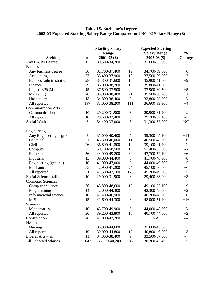## **Table 15. Bachelor's Degree 2002-03 Expected Starting Salary Range Compared to 2001-02 Salary Range (\$)**

|                                |                | <b>Starting Salary</b> |             | <b>Expected Starting</b> |               |
|--------------------------------|----------------|------------------------|-------------|--------------------------|---------------|
|                                |                | Range                  |             | <b>Salary Range</b>      | $\frac{0}{0}$ |
| <b>Seeking</b>                 | $\mathbf n$    | $2001 - 02$ (\$)       | $\mathbf n$ | $2002 - 03$ (\$)         | <b>Change</b> |
| Any BA/Bs Degree               | 13             | 30,600-34,700          | 8           | 31,600-35,500            | $+2$          |
| <b>Business</b>                |                |                        |             |                          |               |
| Any business degree            | 36             | 32,700-37,400          | 19          | 34,700-39,800            | $+6$          |
| Accounting                     | 33             | 35,400-37,900          | 18          | 37,500-39,200            | $+3$          |
| <b>Business administration</b> | 28             | 33,300-37,600          | 15          | 35,900-41,000            | $+9$          |
| Finance                        | 29             | 36,000-38,700          | 13          | 39,800-41,500            | $+7$          |
| Logistics/SCM                  | 15             | 37,500-37,500          | 9           | 37,900-39,500            | $+5$          |
| Marketing                      | 28             | 35,800-38,400          | 21          | 35,500-38,900            | $+1$          |
| Hospitality                    | 13             | 34,800-38,400          | 9           | 32,800-35,300            | $-8$          |
| All reported                   | 197            | 35,000-38,200          | 111         | 36,600-39,900            | $+4$          |
| <b>Communication Arts</b>      |                |                        |             |                          |               |
| Communication                  | 10             | 29,200-31,900          | 6           | 29,500-31,200            | $-2$          |
| All reported                   | 18             | 29,600-32,400          | 9           | 29,700-32,100            | $-1$          |
| Social Work                    | 5              | 34,400-37,000          | 3           | 31,300-37,000            | NC            |
|                                |                |                        |             |                          |               |
| Engineering                    |                |                        |             |                          |               |
| Any Engineering degree         | 8              | 35,000-40,400          | $\tau$      | 39,300-45,100            | $+11$         |
| Chemical                       | 21             | 43,300-46,000          | 11          | 46,500-48,700            | $+6$          |
| Civil                          | 26             | 36,800-41,800          | 10          | 39,100-41,400            | $-1$          |
| Computer                       | 23             | 50,100-58,500          | 10          | 51,400-55,000            | $-6$          |
| Electrical                     | 56             | 44,900-49,200          | 34          | 47,700-52,100            | $+6$          |
| Industrial                     | 13             | 39,800-44,400          | $8\,$       | 41,700-46,900            | $+6$          |
| Engineering (general)          | 10             | 41,900-47,000          | 5           | 44,000-49,600            | $+5$          |
| Mechanical                     | 55             | 42,900-47,200          | 24          | 45,100-50,600            | $+6$          |
| All reported                   | 250            | 42,500-47,100          | 123         | 45,200-49,500            | $+5$          |
| Social Sciences (all)          | 10             | 29,000-31,900          | 8           | 29,400-33,000            | $+3$          |
| <b>Computer Sciences</b>       |                |                        |             |                          |               |
| Computer science               | 36             | 45,800-48,600          | 19          | 49,100-53,100            | $+9$          |
| Programming                    | 14             | 42,000-44,300          | $\sqrt{6}$  | 42,300-45,000            | $+2$          |
| Informational science          | 10             | 41,400-46,900          | 6           | 40,700-48,200            | $+6$          |
| <b>MIS</b>                     | 15             | 41,600-44,300          | 8           | 48,000-51,400            | $+16$         |
| Sciences                       |                |                        |             |                          |               |
| Mathematics                    | 10             | 45,700-49,900          | 6           | 44,000-48,300            | $-3$          |
| All reported                   | 30             | 39,200-43,800          | 16          | 40,700-44,600            | $+2$          |
| Construction                   | $\overline{4}$ | 42,000-43,700          |             | <b>NA</b>                | ---           |
| Health                         |                |                        |             |                          |               |
| Nursing                        | $\tau$         | 35,300-44,600          | 5           | 37,600-45,600            | $+2$          |
| All reported                   | 19             | 39,000-44,800          | 13          | 40,800-46,000            | $+3$          |
| Liberal Arts - all             | 11             | 34,300-38,400          | 9           | 33,500-37,000            | $-4$          |
| All Reported salaries          | 642            | 36,800-40,200          | 347         | 38,300-42,400            | $+5$          |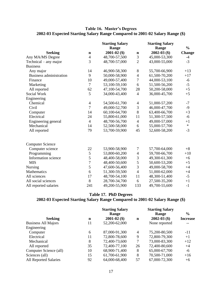# **Table 16. Master's Degrees 2002-03 Expected Starting Salary Range Compared to 2001-02 Salary Range (\$)**

|                         |                | <b>Starting Salary</b><br>Range |                          | <b>Starting Salary</b><br>Range | $\frac{0}{0}$ |
|-------------------------|----------------|---------------------------------|--------------------------|---------------------------------|---------------|
| <b>Seeking</b>          | $\mathbf n$    | $2001 - 02$ (\$)                | $\mathbf n$              | $2002 - 03$ (\$)                | Change        |
| Any MA/MS Degree        | 4              | 48,700-57,500                   | 3                        | 45,000-53,300                   | $-4$          |
| Technical – any major   | 3              | 48,700-57,000                   | $\overline{2}$           | 43,000-55,000                   | $-3$          |
| <b>Business</b>         |                |                                 |                          |                                 |               |
| Any major               | 14             | 46,900-58,300                   | 8                        | 55,700-66,900                   | $+13$         |
| Business administration | 9              | 50,000-58,900                   | $\overline{4}$           | 61,500-70,200                   | $+17$         |
| Finance                 | 10             | 49,000-57,400                   | 7                        | 44,000-53,100                   | $-6$          |
| Marketing               | 7              | 53,100-59,100                   | 6                        | 51,500-56,200                   | $-5$          |
| All reported            | 62             | 47,100-54,700                   | 28                       | 50,200-58,000                   | $+5$          |
| Social Work             | 5              | 34,000-43,400                   | $\overline{4}$           | 36,000-45,700                   | $+5$          |
| Engineering             |                |                                 |                          |                                 |               |
| Chemical                | $\overline{4}$ | 54,500-61,700                   | 4                        | 51,000-57,200                   | $-7$          |
| Civil                   | $\overline{7}$ | 49,000-52,700                   | 3                        | 46,000-47,700                   | $-9$          |
| Computer                | 14             | 60,100-64,700                   | 8                        | 63,400-66,700                   | $+3$          |
| Electrical              | 24             | 55,800-61,000                   | 11                       | 51,300-57,500                   | $-6$          |
| Engineering general     | $\overline{4}$ | 48,700-56,700                   | $\overline{4}$           | 49,000-57,000                   | $+1$          |
| Mechanical              | 14             | 52,500-58,000                   | 6                        | 55,000-57,700                   | $\ast$        |
| All reported            | 79             | 53,700-59,900                   | 45                       | 52,600-58,200                   | $-3$          |
| <b>Computer Science</b> |                |                                 |                          |                                 |               |
| Computer science        | 22             | 53,900-58,900                   | $\tau$                   | 57,700-64,000                   | $+8$          |
| Programming             | 5              | 53,800-60,200                   | $\overline{\mathcal{A}}$ | 59,700-66,700                   | $+10$         |
| Information science     | 5              | 48,400-58,000                   | 3                        | 49,300-61,300                   | $+6$          |
| <b>MIS</b>              | 7              | 48,400-50,600                   | 5                        | 50,600-53,200                   | $+5$          |
| Nursing                 | 5              | 47,600-56,400                   | 3                        | 49,000-58,700                   | $+4$          |
| Mathematics             | 6              | 51,300-59,500                   | $\overline{4}$           | 51,000-62,000                   | $+4$          |
| All sciences            | 17             | 48,700-54,100                   | 11                       | 48,300-51,400                   | $-5$          |
| All social sciences     | 8              | 28,700-34,700                   | 6                        | 27,500-35,200                   | $+1$          |
| All reported salaries   | 241            | 49,200-55,900                   | 133                      | 49,700-55,600                   | $-1$          |

# **Table 17. PhD Degrees**

# **2002-03 Expected Starting Salary Range Compared to 2001-02 Salary Range (\$)**

| <b>Seeking</b>               | n  | <b>Starting Salary</b><br>Range<br>$2001 - 02$ (\$) | $\mathbf n$ | <b>Starting Salary</b><br><b>Range</b><br>$2002 - 03$ (\$) | $\frac{6}{9}$<br><b>Increase</b> |
|------------------------------|----|-----------------------------------------------------|-------------|------------------------------------------------------------|----------------------------------|
| <b>Business All Majors</b>   | 11 | 52,200-62,000                                       |             | None reported                                              |                                  |
| Engineering                  |    |                                                     |             |                                                            |                                  |
| Computer                     | 6  | 87,000-91,300                                       | 4           | 75,200-80,500                                              | $-11$                            |
| Electrical                   | 11 | 72,800-78,600                                       | 9           | 72,800-79,300                                              | $+1$                             |
| Mechanical                   | 8  | 72,400-73,600                                       | 7           | 73,000-83,300                                              | $+12$                            |
| All reported                 | 35 | 72,400-77,100                                       | 26          | 72,400-80,600                                              | $+4$                             |
| Computer Science (all)       | 10 | 68,900-71,400                                       | 8           | 65,000-67,700                                              | -6                               |
| Sciences (all)               | 15 | 61,700-61,900                                       | 8           | 70,500-71,000                                              | $+16$                            |
| <b>All Reported Salaries</b> | 92 | 64,000-68,400                                       | 57          | 67,000-72,300                                              | $+6$                             |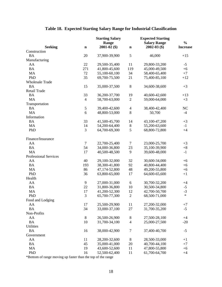|                              |             | <b>Starting Salary</b><br>Range |                | <b>Expected Starting</b><br><b>Salary Range</b> | $\frac{0}{0}$   |
|------------------------------|-------------|---------------------------------|----------------|-------------------------------------------------|-----------------|
| <b>Seeking</b>               | $\mathbf n$ | $2001 - 02$ (\$)                | $\mathbf n$    | $2002 - 03$ (\$)                                | <b>Increase</b> |
| Construction                 |             |                                 |                |                                                 |                 |
| <b>BA</b>                    | 20          | 37,900-39,900                   | 5              | 46,000                                          | $+15$           |
| Manufacturing                |             |                                 |                |                                                 |                 |
| AA                           | 22          | 29,500-35,400                   | 11             | 29,800-33,200                                   | $-5$            |
| <b>BA</b>                    | 271         | 41,800-45,600                   | 119            | 45,000-49,500                                   | $+6$            |
| MA                           | 72          | 55,100-60,100                   | 34             | 58,400-65,400                                   | $+7$            |
| PhD                          | 35          | 69,700-75,500                   | 21             | 75,400-85,100                                   | $+12$           |
| <b>Wholesale Trade</b>       |             |                                 |                |                                                 |                 |
| <b>BA</b>                    | 15          | 35,000-37,500                   | $\,8\,$        | 34,600-38,600                                   | $+3$            |
| <b>Retail Trade</b>          |             |                                 |                |                                                 |                 |
| <b>BA</b>                    | 33          | 36,200-37,700                   | 19             | 40,600-42,600                                   | $+13$           |
| <b>MA</b>                    | 4           | 58,700-63,000                   | $\mathfrak{2}$ | 59,000-64,000                                   | $+3$            |
| Transportation               |             |                                 |                |                                                 |                 |
| <b>BA</b>                    | 5           | 39,400-42,600                   | $\overline{4}$ | 38,400-42,400                                   | NC              |
| <b>MA</b>                    | 6           | 48,800-53,000                   | 8              | 50,700                                          | $-4$            |
| Information                  |             |                                 |                |                                                 |                 |
| <b>BA</b>                    | 33          | 41,500-45,700                   | 14             | 43,100-47,200                                   | $+3$            |
| MA                           | 14          | 54,200-64,400                   | $8\,$          | 55,200-63,600                                   | $-1$            |
| PhD                          | 3           | 64,700-69,300                   | 5              | 68,800-72,800                                   | $+4$            |
|                              |             |                                 |                |                                                 |                 |
| Finance/Insurance            |             |                                 |                |                                                 |                 |
| AA                           | 7           | 22,700-25,400                   | 7              | 23,000-25,700                                   | $+3$            |
| <b>BA</b>                    | 54          | 34,000-36,800                   | 23             | 35,100-39,900                                   | $+8$            |
| MA                           | 17          | 40,500-48,500                   | $\mathbf{9}$   | 39,600-48,000                                   | $-1$            |
| <b>Professional Services</b> |             |                                 |                |                                                 |                 |
| AA                           | 40          | 29,100-32,000                   | 32             | 30,600-34,000                                   | $+6$            |
| <b>BA</b>                    | 193         | 38,300-41,800                   | 92             | 40,800-44,400                                   | $+6$            |
| MA                           | 86          | 47,174-52,800                   | 48             | 49,200-55,800                                   | $+6$            |
| PhD                          | 36          | 63,800-65,000                   | 17             | 64,600-65,600                                   | $+1$            |
| Health                       |             |                                 |                |                                                 |                 |
| AA                           | 9           | 27,000-31,000                   | 6              | 30,700-32,200                                   | $+4$            |
| <b>BA</b>                    | 22          | 31,800-36,800                   | 10             | 30,500-34,800                                   | $-5$            |
| MA                           | 17          | 41,200-52,300                   | 12             | 42,700-50,700                                   | $-3$            |
| PhD                          | 3           | 65,700-77,300                   | $\sqrt{2}$     | 68,500-71,000                                   | $\ast$          |
| Food and Lodging             |             |                                 |                |                                                 |                 |
| AA                           | 17          | 25,500-29,900                   | 11             | 27,200-32,000                                   | $+7$            |
| <b>BA</b>                    | 34          | 33,000-37,100                   | 27             | 31,700-35,200                                   | $-5$            |
| Non-Profits                  |             |                                 |                |                                                 |                 |
| AA                           | $8\,$       | 26,500-26,900                   | $8\,$          | 27,500-28,100                                   | $+4$            |
| <b>BA</b>                    | 10          | 31,700-34,100                   | $\overline{4}$ | 25,000-27,500                                   | $-20$           |
| Utilities                    |             |                                 |                |                                                 |                 |
| <b>BA</b>                    | 16          | 38,000-42,900                   | $\tau$         | 37,400-40,700                                   | $-5$            |
| Government                   |             |                                 |                |                                                 |                 |
| AA                           | 11          | 28,200-32,600                   | $8\,$          | 28,500-33,000                                   | $+1$            |
| <b>BA</b>                    | 45          | 35,000-41,000                   | 20             | 40,700-44,100                                   | $+7$            |
| MA                           | 19          | 43,600-52,600                   | 11             | 47,800-55,800                                   | $+6$            |
| PhD                          | 16          | 52,500-62,400                   | 11             | 61,700-64,700                                   | $+4$            |

# **Table 18. Expected Starting Salary Range for Industrial Classification**

\*Bottom of range moving up faster than the top of the range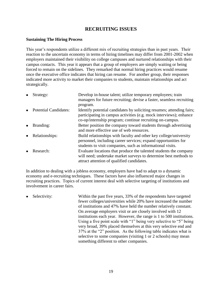# **RECRUITING ISSUES**

# **Sustaining The Hiring Process**

This year's respondents utilize a different mix of recruiting strategies than in past years. Their reaction to the uncertain economy in terms of hiring timelines may differ from 2001-2002 when employers maintained their visibility on college campuses and nurtured relationships with their campus contacts. This year it appears that a group of employers are simply waiting or being forced to remain on the sidelines. They remarked that normal hiring practices would resume once the executive office indicates that hiring can resume. For another group, their responses indicated more activity to market their companies to students, maintain relationships and act strategically.

| $\bullet$ | Strategy:                    | Develop in-house talent; utilize temporary employees; train<br>managers for future recruiting; devise a faster, seamless recruiting<br>program.                                                         |
|-----------|------------------------------|---------------------------------------------------------------------------------------------------------------------------------------------------------------------------------------------------------|
| $\bullet$ | <b>Potential Candidates:</b> | Identify potential candidates by soliciting resumes; attending fairs;<br>participating in campus activities (e.g. mock interviews); enhance<br>co-op/internship program; continue recruiting on-campus. |
| $\bullet$ | Branding:                    | Better position the company toward students through advertising<br>and more effective use of web resources.                                                                                             |
| $\bullet$ | Relationships:               | Build relationships with faculty and other key college/university<br>personnel, including career services; expand opportunities for<br>students to visit companies, such as informational visits.       |
|           | Research:                    | Evaluate locations that produce the talented students the company<br>will need; undertake market surveys to determine best methods to<br>attract attention of qualified candidates.                     |

In addition to dealing with a jobless economy, employers have had to adapt to a dynamic economy and e-recruiting techniques. These factors have also influenced major changes in recruiting practices. Topics of current interest deal with selective targeting of institutions and involvement in career fairs.

Selectivity: Within the past five years, 33% of the respondents have targeted fewer colleges/universities while 20% have increased the number of institutions and 47% have held the number relatively constant. On average employers visit or are closely involved with 12 institutions each year. However, the range is 1 to 500 institutions. Using a five point scale with "1" being very selective to "5" being very broad, 39% placed themselves at this very selective end and 37% at the "2" position. As the following table indicates what is selective to some companies (visiting 1 or 2 schools) may mean something different to other companies.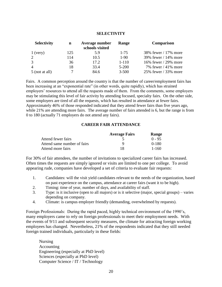## **SELECTIVITY**

| <b>Selectivity</b> | $\mathbf n$ | Average number<br>schools visited | Range     | <b>Comparison</b>     |
|--------------------|-------------|-----------------------------------|-----------|-----------------------|
| $1$ (very)         | 125         | 5.9                               | $1 - 75$  | 38% fewer / 17% more  |
|                    | 114         | 10.5                              | $1-90$    | 39% fewer / 14% more  |
|                    | 36          | 17.2                              | $1 - 110$ | 16% fewer / 29% more  |
|                    | 18          | 33.4                              | $5 - 200$ | 7% fewer $/41\%$ more |
| $5$ (not at all)   |             | 84.6                              | $3 - 500$ | 25% fewer / 33% more  |

Fairs. A common perception around the country is that the number of career/employment fairs has been increasing at an "exponential rate" (in other words, quite rapidly), which has strained employers' resources to attend all the requests made of them. From the comments, some employers may be stimulating this level of fair activity by attending focused, specialty fairs. On the other side, some employers are tired of all the requests, which has resulted in attendance at fewer fairs. Approximately 46% of those responded indicated that they attend fewer fairs than five years ago, while 21% are attending more fairs. The average number of fairs attended is 6, but the range is from 0 to 180 (actually 71 employers do not attend any fairs).

### **CAREER FAIR ATTENDANCE**

|                             | <b>Average Fairs</b> | <b>Range</b> |
|-----------------------------|----------------------|--------------|
| Attend fewer fairs          |                      | $0 - 95$     |
| Attend same number of fairs | Q                    | $0-180$      |
| Attend more fairs           | 18                   | $1 - 160$    |

For 30% of fair attendees, the number of invitations to specialized career fairs has increased. Often times the requests are simply ignored or visits are limited to one per college. To avoid appearing rude, companies have developed a set of criteria to evaluate fair requests:

- 1. Candidates: will the visit yield candidates relevant to the needs of the organization, based on past experience on the campus, attendance at career fairs (want it to be high).
- 2. Timing: time of year, number of days, and availability of staff.
- 3. Type: is it inclusive (open to all majors) or is it selective (major, special groups) varies depending on company.
- 4. Climate: is campus employer friendly (demanding, overwhelmed by requests).

Foreign Professionals: During the rapid paced, highly technical environment of the 1990's, many employers came to rely on foreign professionals to meet their employment needs. With the events of 9/11 and subsequent security measures, the climate for attracting foreign working employees has changed. Nevertheless, 21% of the respondents indicated that they still needed foreign trained individuals, particularly in these fields:

Nursing Accounting Engineering (especially at PhD level) Sciences (especially at PhD level) Computer Science / IT / Technology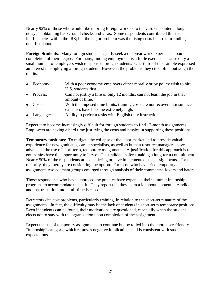Nearly 92% of those who would like to bring foreign workers to the U.S. encountered long delays in obtaining background checks and visas. Some respondents contributed this to inefficiencies within the IRS; but the major problem was the rising costs incurred in finding qualified labor.

**Foreign Students**: Many foreign students eagerly seek a one-year work experience upon completion of their degree. For many, finding employment is a futile exercise because only a small number of employers wish to sponsor foreign students. One-third of this sample expressed an interest in employing a foreign student. However, the problems they cited often outweigh the merits.

- Economy: With a poor economy employers either morally or by policy wish to hire U.S. students first. Process: Can not justify a hire of only 12 months; can not learn the job in that
- amount of time. Costs: With the imposed time limits, training costs are not recovered; insurance expenses have become extremely high.
- Language: Ability to perform tasks with English only instruction.

Expect it to become increasingly difficult for foreign students to find 12-month assignments. Employers are having a hard time justifying the costs and hassles in supporting these positions.

**Temporary positions**: To mitigate the collapse of the labor market and to provide valuable experience for new graduates, career specialists, as well as human resource managers, have advocated the use of short-term, temporary assignments. A justification for this approach is that companies have the opportunity to "try out" a candidate before making a long-term commitment. Nearly 50% of the respondents are considering or have implemented such assignments. For the majority, they merely are considering the option. For those who have tried temporary assignment, two adamant groups emerged through analysis of their comments: lovers and haters.

Those respondents who have embraced the practice have expanded their summer internship programs to accommodate the shift. They report that they learn a lot about a potential candidate and that transition into a full-time is eased.

Detractors cite cost problems, particularly training, in relation to the short-term nature of the assignments. In fact, the difficulty may be the lack of students in short-term temporary positions. Even if students can be found, their motivations are questioned, especially when the student elects not to stay with the organization upon completion of the assignment.

Expect the use of temporary assignments to continue but be rolled into the more user-friendly "internship" category, which removes negative implications and is consistent with student expectations.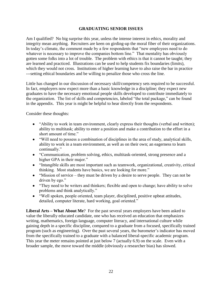# **GRADUATING SENIOR ISSUES**

Am I qualified? No big surprise this year, unless the intense interest in ethics, morality and integrity mean anything. Recruiters are keen on girding-up the moral fiber of their organizations. In today's climate, the comment made by a few respondents that "new employees need to do whatever is necessary to improve the companies bottom line." That mentality has obviously gotten some folks into a lot of trouble. The problem with ethics is that it cannot be taught; they are learned and practiced. Illustrations can be used to help students fix boundaries (limits), which they would not cross. Institutions of higher learning have to also raise the bar in practice ---setting ethical boundaries and be willing to penalize those who cross the line.

Little has changed in our discussion of necessary skill/competency sets required to be successful. In fact, employers now expect more than a basic knowledge in a discipline; they expect new graduates to have the necessary emotional people skills developed to contribute immediately to the organization. The list of skills and competencies, labeled "the total package," can be found in the appendix. This year is might be helpful to hear directly from the respondents.

Consider these thoughts:

- "Ability to work in team environment, clearly express their thoughts (verbal and written); ability to multitask; ability to enter a position and make a contribution to the effort in a short amount of time."
- "Will need to possess a combination of disciplines in the area of study, analytical skills, ability to work in a team environment, as well as on their own; an eagerness to learn continually."
- "Communication, problem solving, ethics, multitask-oriented, strong presence and a higher GPA in their major."
- "Intangible skills are most important such as teamwork, organizational, creativity, critical thinking. Most students have basics, we are looking for more."
- $\bullet$  "Mission of service they must be driven by a desire to serve people. They can not be driven by ego."
- "They need to be writers and thinkers; flexible and open to change; have ability to solve problems and think analytically."
- "Well spoken, people oriented, team player, disciplined, positive upbeat attitudes, detailed, computer literate, hard working, goal oriented."

**Liberal Arts – What About Me**? For the past several years employers have been asked to value the liberally educated candidate, one who has received an education that emphasizes writing, mathematics, foreign language, computer literacy, and international culture while gaining depth in a specific discipline, compared to a graduate from a focused, specifically trained program (such as engineering). Over the past several years, the barometer's indicator has moved from the specifically trained to a graduate with a balanced liberal-specific academic program. This year the meter remains pointed at just below 7 (actually 6.9) on the scale. Even with a broader sample, the move toward the middle (obviously a researcher bias) has slowed.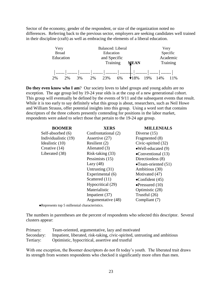Sector of the economy, gender of the respondent, or size of the organization noted no differences. Referring back to the previous sector, employers are seeking candidates well trained in their discipline (craft) as well as embracing the elements of a liberal education.



**Do they even know who I am**? Our society loves to label groups and young adults are no exception. The age group led by 19-24 year olds is at the cusp of a new generational cohort. This group will eventually be defined by the events of 9/11 and the subsequent events that result. While it is too early to say definitely what this group is about, researchers, such as Neil Howe and William Strauss, offer potential insights into this group. Using a word sort that contains descriptors of the three cohorts presently contending for positions in the labor market, respondents were asked to select those that pertain to the 19-24 age group.

| <b>BOOMER</b>        | <b>XERS</b>         | <b>MILLENIALS</b>            |
|----------------------|---------------------|------------------------------|
| Self-absorbed (6)    | Confrontational (2) | Diverse $(15)$               |
| Individualistic (19) | Assertive (27)      | Fragmented (8)               |
| Idealistic (10)      | Resilient (2)       | Civic-spirited (32)          |
| Creative (14)        | Alienated (3)       | $\bullet$ Well-educated (9)  |
| Liberated (38)       | Risk-taking (33)    | •Conventional $(13)$         |
|                      | Pessimists (15)     | Directionless (8)            |
|                      | Lazy $(48)$         | $\bullet$ Team-oriented (51) |
|                      | Untrusting (31)     | Ambitious (30)               |
|                      | Experimental (6)    | Motivated (47)               |
|                      | Scattered (11)      | $\bullet$ Confident (45)     |
|                      | Hypocritical (29)   | $\bullet$ Pressured (10)     |
|                      | Materialistic       | Optimistic (28)              |
|                      | Impatient (37)      | Trustful (26)                |
|                      | Argumentative (48)  | Compliant (7)                |

Represents top 5 millennial characteristics.

The numbers in parentheses are the percent of respondents who selected this descriptor. Several clusters appear:

| Primary:  | Team-oriented, argumentative, lazy and motivated                                       |
|-----------|----------------------------------------------------------------------------------------|
|           | Secondary: Impatient, liberated, risk-taking, civic-spirited, untrusting and ambitious |
| Tertiary: | Optimistic, hypocritical, assertive and trustful                                       |

With one exception, the Boomer descriptors do not fit today's youth. The liberated trait draws its strength from women respondents who checked it significantly more often than men.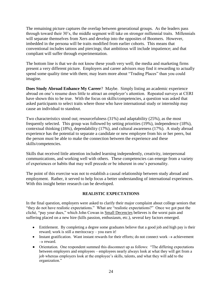The remaining picture captures the overlap between generational groups. As the leaders pass through toward their 30's, the middle segment will take on stronger millennial traits. Millennials will separate themselves from Xers and develop into the opposites of Boomers. However, imbedded in the persona will be traits modified from earlier cohorts. This means that conventional includes tattoos and piercings; that ambitious will include impatience; and that compliant will suffer through experimentation.

The bottom line is that we do not know these youth very well; the media and marketing firms present a very different picture. Employers and career advisors may find it rewarding to actually spend some quality time with them; may learn more about "Trading Places" than you could imagine.

**Does Study Abroad Enhance My Career**? Maybe. Simply listing an academic experience abroad on one's resume does little to attract an employer's attention. Repeated surveys at CERI have shown this to be true. With the focus on skills/competencies, a question was asked that asked participants to select traits where those who have international study or internship may cause an individual to standout.

Two characteristics stood out; resourcefulness (31%) and adaptability (25%), as the most frequently selected. This group was followed by setting priorities (19%), independence (18%), contextual thinking (18%), dependability (17%), and cultural awareness (17%). A study abroad experience has the potential to separate a candidate or new employee from his or her peers, but the person must be able to make the connection between the experience and these skills/competencies.

Skills that received little attention included learning independently, creativity, interpersonal communications, and working well with others. These competencies can emerge from a variety of experiences or habits that may well precede or be inherent in one's personality.

The point of this exercise was not to establish a causal relationship between study abroad and employment. Rather, it served to help focus a better understanding of international experiences. With this insight better research can be developed.

# **REALISTIC EXPECTATIONS**

In the final question, employers were asked to clarify their major complaint about college seniors that "they do not have realistic expectations." What are "realistic expectations?" Once we got past the cliché, "pay your dues," which John Cowan in Small Decencies believes is the worst pain and suffering placed on a new hire (kills passion, enthusiasm, etc.), several key factors emerged.

- Entitlement. By completing a degree some graduates believe that a good job and high pay is their reward; work is still a meritocracy – you earn it!
- Instant gratification. Want instant rewards for their efforts; do not connect work  $\rightarrow$  achievement  $\rightarrow$  reward.
- Orientation. One respondent summed this disconnect up as follows: "The differing expectations between employers and employees – employees nearly always look at what they will get from a job whereas employers look at the employee's skills, talents, and what they will add to the organization."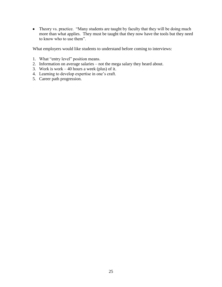• Theory vs. practice. "Many students are taught by faculty that they will be doing much more than what applies. They must be taught that they now have the tools but they need to know who to use them".

What employers would like students to understand before coming to interviews:

- 1. What "entry level" position means.
- 2. Information on average salaries not the mega salary they heard about.
- 3. Work is work  $-40$  hours a week (plus) of it.
- 4. Learning to develop expertise in one's craft.
- 5. Career path progression.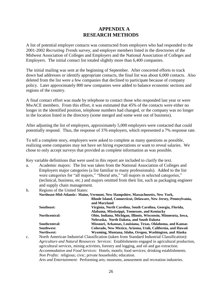# **APPENDIX A RESEARCH METHODS**

A list of potential employer contacts was constructed from employers who had responded to the 2001-2002 *Recruiting Trends* survey, and employer members listed in the directories of the Midwest Association of Colleges and Employers and the National Association of Colleges and Employers. The initial contact list totaled slightly more than 6,400 companies.

The initial mailing was sent at the beginning of September. After concerted efforts to track down bad addresses or identify appropriate contacts, the final list was about 6,000 contacts. Also deleted from the list were a few companies that declined to participate because of company policy. Later approximately 800 new companies were added to balance economic sections and regions of the country.

A final contact effort was made by telephone to contact those who responded last year or were MwACE members. From this effort, it was estimated that 45% of the contacts were either no longer in the identified position, telephone numbers had changed, or the company was no longer in the location listed in the directory (some merged and some went out of business).

After adjusting the list of employers, approximately 5,000 employers were contacted that could potentially respond. Thus, the response of 376 employers, which represented a 7% response rate.

To tell a complete story, employers were asked to complete as many questions as possible, realizing some companies may not have set hiring expectations or want to reveal salaries. We chose to only accept surveys that provided as complete information as was possible.

Key variable definitions that were used in this report are included to clarify the text.

a. Academic majors: The list was taken from the National Association of Colleges and Employers major categories (a list familiar to many professionals). Added to the list were categories for "all majors," "liberal arts," "all majors in selected categories," (technical, business, etc.) and majors omitted from their list, such as packaging engineer and supply chain management.

b. Regions of the United States:

|               | Northeast-Mid-Atlantic: Maine, Vermont, New Hampshire, Massachusetts, New York, |
|---------------|---------------------------------------------------------------------------------|
|               | Rhode Island, Connecticut, Delaware, New Jersey, Pennsylvania,                  |
|               | and Maryland                                                                    |
| Southeast:    | Virginia, North Carolina, South Carolina, Georgia, Florida,                     |
|               | Alabama, Mississippi, Tennessee, and Kentucky                                   |
| Northcentral: | Ohio, Indiana, Michigan, Illinois, Wisconsin, Minnesota, Iowa,                  |
|               | Nebraska, North Dakota, and South Dakota                                        |
| Southcentral: | Missouri, Arkansas, Louisiana, Texas, Oklahoma, and Kansas                      |
| Southwest:    | Colorado, New Mexico, Arizona, Utah, California, and Hawaii                     |
| Northwest:    | Wyoming, Montana, Idaho, Oregon, Washington, and Alaska                         |
|               |                                                                                 |

c. North American Industrial Classification (taken from Standard Industrial Classification): *Agriculture and Natural Resources Services*: Establishments engaged in agricultural production, agricultural services, mining activities, forestry and logging, and oil and gas extraction. *Accommodation and Food Services*: Hotels; motels; food services; drinking establishments. *Non Profits*: religious; civic; private households; education. *Arts and Entertainment*: Performing arts; museums, amusement and recreation industries.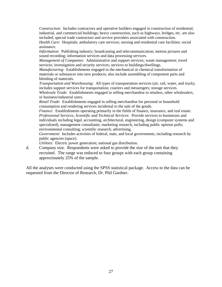*Construction*: Includes contractors and operative builders engaged in construction of residential, industrial, and commercial buildings; heavy construction, such as highways, bridges, etc. are also included; special trade contractors and service providers associated with construction.

*Health Care*: Hospitals; ambulatory care services; nursing and residential care facilities; social assistance.

*Information*: Publishing industry; broadcasting and telecommunication; motion pictures and sound recording; information services and data processing services.

*Management of Companies*: Administrative and support services; waste management; travel services; investigation and security services; services to buildings/dwellings.

*Manufacturing*: Establishments engaged in the mechanical or chemical transformation of materials or substances into new products; also include assembling of component parts and blending of materials.

*Transportation and Warehousing*: All types of transportation services (air, rail, water, and truck), includes support services for transportation; couriers and messengers; storage services.

*Wholesale Trade*: Establishments engaged in selling merchandise to retailers, other wholesalers, or business/industrial users.

*Retail Trade*: Establishments engaged in selling merchandise for personal or household consumption and rendering services incidental to the sale of the goods.

*Finance*: Establishments operating primarily in the fields of finance, insurance, and real estate. *Professional Services, Scientific and Technical Services*: Provide services to businesses and individuals including legal, accounting, architectural, engineering, design (computer systems and specialized), management consultants; marketing research, including public opinion polls; environmental consulting; scientific research; advertising.

*Government*: Includes activities of federal, state, and local governments, including research by public agencies (space).

*Utilities*: Electric power generation; national gas distribution.

d. Company size. Respondents were asked to provide the size of the unit that they recruited. The range was reduced to four groups with each group containing approximately 25% of the sample.

All the analyses were conducted using the SPSS statistical package. Access to the data can be requested from the Director of Research, Dr. Phil Gardner.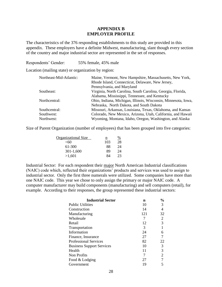# **APPENDIX B EMPLOYER PROFILE**

The characteristics of the 376 responding establishments to this study are provided in this appendix. These employers have a definite Midwest, manufacturing, slant though every section of the country and major industrial sector are represented in the set of responses.

Respondents' Gender: 55% female, 45% male

Location (mailing state) or organization by region:

| Northeast-Mid-Atlantic: | Maine, Vermont, New Hampshire, Massachusetts, New York,<br>Rhode Island, Connecticut, Delaware, New Jersey, |  |
|-------------------------|-------------------------------------------------------------------------------------------------------------|--|
|                         |                                                                                                             |  |
|                         | Pennsylvania, and Maryland                                                                                  |  |
| Southeast:              | Virginia, North Carolina, South Carolina, Georgia, Florida,                                                 |  |
|                         | Alabama, Mississippi, Tennessee, and Kentucky                                                               |  |
| Northcentral:           | Ohio, Indiana, Michigan, Illinois, Wisconsin, Minnesota, Iowa,                                              |  |
|                         | Nebraska, North Dakota, and South Dakota                                                                    |  |
| Southcentral:           | Missouri, Arkansas, Louisiana, Texas, Oklahoma, and Kansas                                                  |  |
| Southwest:              | Colorado, New Mexico, Arizona, Utah, California, and Hawaii                                                 |  |
| Northwest:              | Wyoming, Montana, Idaho, Oregon, Washington, and Alaska                                                     |  |

Size of Parent Organization (number of employees) that has been grouped into five categories:

| Organizational Size | n   | %  |
|---------------------|-----|----|
| $<$ 60              | 103 | 28 |
| 61-300              | 88  | 24 |
| $301 - 1,600$       | 89  | 24 |
| >1,601              | QΔ  | 23 |

Industrial Sector: For each respondent their major North American Industrial classifications (NAIC) code which, reflected their organizations' products and services was used to assign to industrial sector. Only the first three numerals were utilized. Some companies have more than one NAIC code. This year we chose to only assign the primary or major NAIC code. A computer manufacturer may build components (manufacturing) and sell computers (retail), for example. According to their responses, the group represented these industrial sectors:

| <b>Industrial Sector</b>         | n   | $\frac{0}{0}$ |
|----------------------------------|-----|---------------|
| <b>Public Utilities</b>          | 10  | 3             |
| Construction                     | 14  | 4             |
| Manufacturing                    | 121 | 32            |
| Wholesale                        | 7   |               |
| Retail                           | 12  | 3             |
| Transportation                   | 3   |               |
| Information                      | 24  | 6             |
| Finance, Insurance               | 27  |               |
| <b>Professional Services</b>     | 82  | 22            |
| <b>Business Support Services</b> | 10  | 3             |
| Health                           | 11  | 3             |
| Non Profits                      | 7   | 2             |
| Food & Lodging                   | 27  |               |
| Government                       | 19  |               |
|                                  |     |               |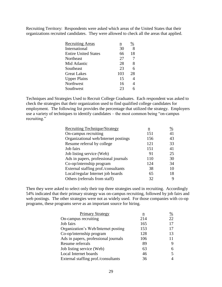Recruiting Territory: Respondents were asked which areas of the United States that their organizations recruited candidates. They were allowed to check all the areas that applied.

| <b>Recruiting Areas</b>     | $\underline{n}$ | %              |
|-----------------------------|-----------------|----------------|
| International               | 30              | 8              |
| <b>Entire United States</b> | 66              | 18             |
| Northeast                   | 27              | 7              |
| Mid Atlantic                | 28              | 8              |
| Southeast                   | 23              | 6              |
| <b>Great Lakes</b>          | 103             | 28             |
| <b>Upper Plains</b>         | 15              | 4              |
| Northwest                   | 16              | $\overline{4}$ |
| Southwest                   | 23              | 6              |
|                             |                 |                |

Techniques and Strategies Used to Recruit College Graduates. Each respondent was asked to check the strategies that their organization used to find qualified college candidates for employment. The following list provides the percentage that utilized the strategy. Employers use a variety of techniques to identify candidates – the most common being "on-campus recruiting."

| <b>Recruiting Technique/Strategy</b> | n   | %  |
|--------------------------------------|-----|----|
| On-campus recruiting                 | 151 | 41 |
| Organizational web/Internet postings | 156 | 43 |
| Resume referral by college           | 121 | 33 |
| Job fairs                            | 151 | 41 |
| Job listing service (Web)            | 91  | 25 |
| Ads in papers, professional journals | 110 | 30 |
| Co-op/internship program             | 124 | 34 |
| External staffing prof./consultants  | 38  | 10 |
| Local/regular Internet job boards    | 65  | 18 |
| Others (referrals from staff)        | 32  | 9  |

Then they were asked to select only their top three strategies used in recruiting. Accordingly 54% indicated that their primary strategy was on-campus recruiting, followed by job fairs and web postings. The other strategies were not as widely used. For those companies with co-op programs, these programs serve as an important source for hiring.

| Primary Strategy                     | $\underline{n}$ | $\frac{\%}{\%}$ |
|--------------------------------------|-----------------|-----------------|
| On-campus recruiting                 | 214             | 22              |
| Job fairs                            | 165             | 17              |
| Organization's Web/Internet posting  | 153             | 17              |
| Co-op/internship program             | 128             | 13              |
| Ads in papers, professional journals | 106             | 11              |
| Resume referrals                     | 89              | 9               |
| Job listing service (Web)            | 63              | 6               |
| Local Internet boards                | 46              | 5               |
| External staffing prof./consultants  | 36              | 4               |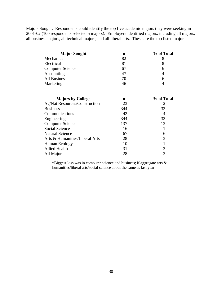Majors Sought: Respondents could identify the top five academic majors they were seeking in 2001-02 (100 respondents selected 5 majors). Employers identified majors, including all majors, all business majors, all technical majors, and all liberal arts. These are the top listed majors.

| <b>Major Sought</b>     | n  | % of Total |
|-------------------------|----|------------|
| Mechanical              | 82 |            |
| Electrical              | 81 |            |
| <b>Computer Science</b> | 67 | h          |
| Accounting              | 47 |            |
| <b>All Business</b>     | 70 | 6          |
| Marketing               | 46 |            |

| <b>Majors by College</b>             | n   | % of Total |
|--------------------------------------|-----|------------|
| <b>Ag/Nat Resources/Construction</b> | 23  |            |
| <b>Business</b>                      | 344 | 32         |
| Communications                       | 42  | 4          |
| Engineering                          | 344 | 32         |
| <b>Computer Science</b>              | 137 | 13         |
| Social Science                       | 16  |            |
| <b>Natural Science</b>               | 67  | 6          |
| Arts & Humanities/Liberal Arts       | 28  | 3          |
| Human Ecology                        | 10  |            |
| <b>Allied Health</b>                 | 31  | 3          |
| All Majors                           | 28  |            |

\*Biggest loss was in computer science and business; if aggregate arts & humanities/liberal arts/social science about the same as last year.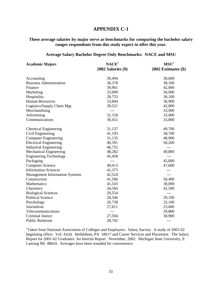# **APPENDIX C-1**

# **These average salaries by major serve as benchmarks for comparing the bachelor salary ranges respondents from this study expect to offer this year.**

#### **Average Salary Bachelor Degree Only Benchmarks: NACE and MSU**

| <b>Academic Majors</b>                | NACE <sup>1</sup>      | MSU <sup>1</sup>    |  |
|---------------------------------------|------------------------|---------------------|--|
|                                       | $2002$ Salaries $(\$)$ | 2002 Estimates (\$) |  |
| Accounting                            | 39,494                 | 38,600              |  |
| <b>Business Administration</b>        | 36,378                 | 38,100              |  |
| Finance                               | 39,961                 | 42,000              |  |
| Marketing                             | 33,690                 | 36,900              |  |
| Hospitality                           | 28,753                 | 30,100              |  |
| <b>Human Resources</b>                | 33,844                 | 36,900              |  |
| Logistics/Supply Chain Mgt.           | 39,521                 | 42,800              |  |
| Merchandising                         | $---$                  | 33,900              |  |
| Advertising                           | 31,158                 | 33,000              |  |
| Communications                        | 30,451                 | 33,800              |  |
| <b>Chemical Engineering</b>           | 51,137                 | 49,700              |  |
| Civil Engineering                     | 41,193                 | 38,700              |  |
| <b>Computer Engineering</b>           | 51,135                 | 48,900              |  |
| <b>Electrical Engineering</b>         | 40,391                 | 50,200              |  |
| <b>Industrial Engineering</b>         | 46,755                 | ---                 |  |
| Mechanical Engineering                | 48,282                 | 49,800              |  |
| <b>Engineering Technology</b>         | 45,458                 | $---$               |  |
| Packaging                             | $---$                  | 45,000              |  |
| <b>Computer Science</b>               | 49,413                 | 47,600              |  |
| <b>Information Sciences</b>           | 41,375                 |                     |  |
| <b>Management Information Systems</b> | 42,524                 | $---$               |  |
| Construction                          | 41,506                 | 50,400              |  |
| Mathematics                           | 41,543                 | 38,000              |  |
| Chemistry                             | 34,566                 | 42,500              |  |
| <b>Biological Sciences</b>            | 29,554                 | $---$               |  |
| <b>Political Science</b>              | 28,546                 | 29,100              |  |
| Psychology                            | 26,738                 | 32,100              |  |
| Journalism                            | 27,811                 | 23,600              |  |
| Telecommunications                    | $---$                  | 39,800              |  |
| <b>Criminal Justice</b>               | 27,594                 | 38,900              |  |
| <b>Public Relations</b>               | 28,742                 | $---$               |  |

<sup>1</sup>Taken from National Association of Colleges and Employers.Salary Survey: A study of 2001-02 beginning offers. Vol. 41(4). Bethlehem, PA 18017 and Career Services and Placement. The Salary Report for 2001-02 Graduates: An Interim Report. November, 2002. Michigan State University, E Lansing MI 48824. Averages have been rounded for convenience.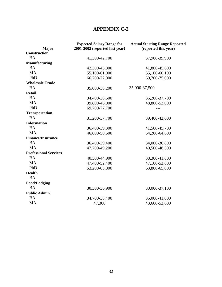# **APPENDIX C-2**

| <b>Major</b>                 | <b>Expected Salary Range for</b><br>2001-2002 (reported last year) | <b>Actual Starting Range Reported</b><br>(reported this year) |
|------------------------------|--------------------------------------------------------------------|---------------------------------------------------------------|
| <b>Construction</b>          |                                                                    |                                                               |
| <b>BA</b>                    | 41,300-42,700                                                      | 37,900-39,900                                                 |
| <b>Manufacturing</b>         |                                                                    |                                                               |
| <b>BA</b>                    | 42,300-45,800                                                      | 41,800-45,600                                                 |
| <b>MA</b>                    | 55,100-61,000                                                      | 55,100-60,100                                                 |
| PhD                          | 66,700-72,000                                                      | 69,700-75,000                                                 |
| <b>Wholesale Trade</b>       |                                                                    |                                                               |
| <b>BA</b>                    | 35,600-38,200                                                      | 35,000-37,500                                                 |
| <b>Retail</b>                |                                                                    |                                                               |
| <b>BA</b>                    | 34,400-38,600                                                      | 36,200-37,700                                                 |
| <b>MA</b>                    | 39,800-46,000                                                      | 48,800-53,000                                                 |
| PhD                          | 69,700-77,700                                                      |                                                               |
| <b>Transportation</b>        |                                                                    |                                                               |
| <b>BA</b>                    | 31,200-37,700                                                      | 39,400-42,600                                                 |
| <b>Information</b>           |                                                                    |                                                               |
| <b>BA</b>                    | 36,400-39,300                                                      | 41,500-45,700                                                 |
| <b>MA</b>                    | 46,800-50,600                                                      | 54,200-64,600                                                 |
| <b>Finance/Insurance</b>     |                                                                    |                                                               |
| <b>BA</b>                    | 36,400-39,400                                                      | 34,000-36,800                                                 |
| <b>MA</b>                    | 47,700-49,200                                                      | 40,500-48,500                                                 |
| <b>Professional Services</b> |                                                                    |                                                               |
| <b>BA</b>                    | 40,500-44,900                                                      | 38,300-41,800                                                 |
| <b>MA</b>                    | 47,400-52,400                                                      | 47,100-52,800                                                 |
| PhD                          | 53,200-63,800                                                      | 63,800-65,000                                                 |
| <b>Health</b>                |                                                                    |                                                               |
| <b>BA</b>                    |                                                                    |                                                               |
| <b>Food/Lodging</b>          |                                                                    |                                                               |
| <b>BA</b>                    | 30,300-36,900                                                      | 30,000-37,100                                                 |
| <b>Public Admin.</b>         |                                                                    |                                                               |
| <b>BA</b>                    | 34,700-38,400                                                      | 35,000-41,000                                                 |
| <b>MA</b>                    | 47,300                                                             | 43,600-52,600                                                 |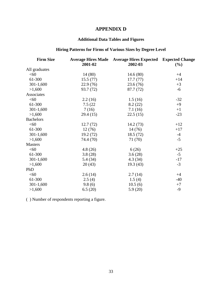# **APPENDIX D**

# **Additional Data Tables and Figures**

# **Hiring Patterns for Firms of Various Sizes by Degree Level**

| <b>Firm Size</b> |           | <b>Average Hires Made</b> Average Hires Expected | <b>Expected Change</b> |
|------------------|-----------|--------------------------------------------------|------------------------|
|                  | 2001-02   | 2002-03                                          | $(\%)$                 |
| All graduates    |           |                                                  |                        |
| < 60             | 14(80)    | 14.6(80)                                         | $+4$                   |
| 61-300           | 15.5(77)  | 17.7(77)                                         | $+14$                  |
| $301-1,600$      | 22.9(76)  | 23.6(76)                                         | $+3$                   |
| >1,600           | 93.7 (72) | 87.7 (72)                                        | $-6$                   |
| Associates       |           |                                                  |                        |
| $<$ 60           | 2.2(16)   | 1.5(16)                                          | $-32$                  |
| 61-300           | 7.5(22)   | 8.2(22)                                          | $+9$                   |
| $301 - 1,600$    | 7(16)     | 7.1(16)                                          | $+1$                   |
| >1,600           | 29.4(15)  | 22.5(15)                                         | $-23$                  |
| <b>Bachelors</b> |           |                                                  |                        |
| < 60             | 12.7(72)  | 14.2(73)                                         | $+12$                  |
| 61-300           | 12(76)    | 14(76)                                           | $+17$                  |
| $301-1,600$      | 19.2(72)  | 18.5(72)                                         | $-4$                   |
| >1,600           | 74.4 (70) | 71 (70)                                          | $-5$                   |
| <b>Masters</b>   |           |                                                  |                        |
| < 60             | 4.8(26)   | 6(26)                                            | $+25$                  |
| 61-300           | 3.8(28)   | 3.6(28)                                          | $-5$                   |
| $301 - 1,600$    | 5.4 (34)  | 4.3(34)                                          | $-17$                  |
| >1,600           | 20(43)    | 19.3(43)                                         | $-3$                   |
| PhD              |           |                                                  |                        |
| < 60             | 2.6(14)   | 2.7(14)                                          | $+4$                   |
| 61-300           | 2.5(4)    | 1.5(4)                                           | $-40$                  |
| $301 - 1,600$    | 9.8(6)    | 10.5(6)                                          | $+7$                   |
| >1,600           | 6.5(20)   | 5.9(20)                                          | $-9$                   |
|                  |           |                                                  |                        |

( ) Number of respondents reporting a figure.